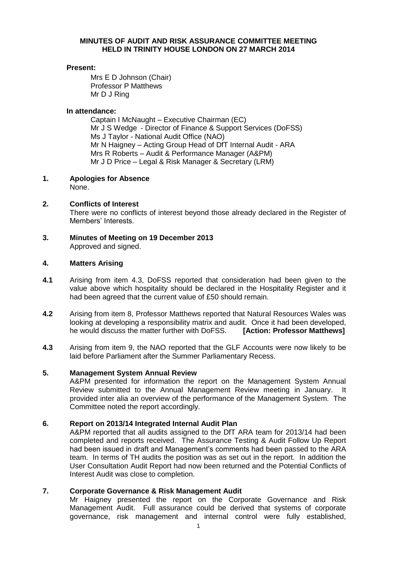## **MINUTES OF AUDIT AND RISK ASSURANCE COMMITTEE MEETING HELD IN TRINITY HOUSE LONDON ON 27 MARCH 2014**

# **Present:**

Mrs E D Johnson (Chair) Professor P Matthews Mr D J Ring

## **In attendance:**

Captain I McNaught – Executive Chairman (EC) Mr J S Wedge - Director of Finance & Support Services (DoFSS) Ms J Taylor - National Audit Office (NAO) Mr N Haigney – Acting Group Head of DfT Internal Audit - ARA Mrs R Roberts – Audit & Performance Manager (A&PM) Mr J D Price – Legal & Risk Manager & Secretary (LRM)

**1. Apologies for Absence**

None.

## **2. Conflicts of Interest**

There were no conflicts of interest beyond those already declared in the Register of Members' Interests.

**3. Minutes of Meeting on 19 December 2013** Approved and signed.

#### **4. Matters Arising**

- **4.1** Arising from item 4.3, DoFSS reported that consideration had been given to the value above which hospitality should be declared in the Hospitality Register and it had been agreed that the current value of £50 should remain.
- **4.2** Arising from item 8, Professor Matthews reported that Natural Resources Wales was looking at developing a responsibility matrix and audit. Once it had been developed, he would discuss the matter further with DoFSS. **[Action: Professor Matthews]**
- **4.3** Arising from item 9, the NAO reported that the GLF Accounts were now likely to be laid before Parliament after the Summer Parliamentary Recess.

### **5. Management System Annual Review**

A&PM presented for information the report on the Management System Annual Review submitted to the Annual Management Review meeting in January. It provided inter alia an overview of the performance of the Management System. The Committee noted the report accordingly.

### **6. Report on 2013/14 Integrated Internal Audit Plan**

A&PM reported that all audits assigned to the DfT ARA team for 2013/14 had been completed and reports received. The Assurance Testing & Audit Follow Up Report had been issued in draft and Management's comments had been passed to the ARA team. In terms of TH audits the position was as set out in the report. In addition the User Consultation Audit Report had now been returned and the Potential Conflicts of Interest Audit was close to completion.

### **7. Corporate Governance & Risk Management Audit**

Mr Haigney presented the report on the Corporate Governance and Risk Management Audit. Full assurance could be derived that systems of corporate governance, risk management and internal control were fully established,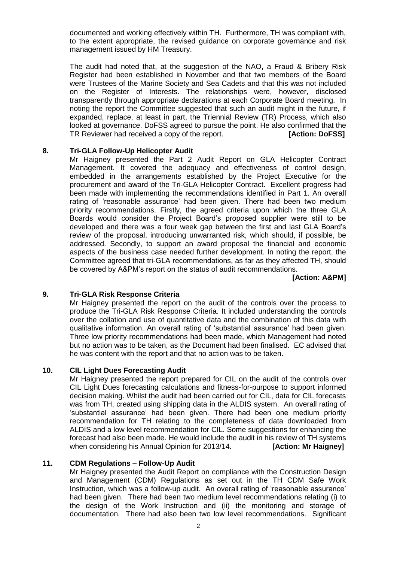documented and working effectively within TH. Furthermore, TH was compliant with, to the extent appropriate, the revised guidance on corporate governance and risk management issued by HM Treasury.

The audit had noted that, at the suggestion of the NAO, a Fraud & Bribery Risk Register had been established in November and that two members of the Board were Trustees of the Marine Society and Sea Cadets and that this was not included on the Register of Interests. The relationships were, however, disclosed transparently through appropriate declarations at each Corporate Board meeting. In noting the report the Committee suggested that such an audit might in the future, if expanded, replace, at least in part, the Triennial Review (TR) Process, which also looked at governance. DoFSS agreed to pursue the point. He also confirmed that the TR Reviewer had received a copy of the report. **[Action: DoFSS]**

#### **8. Tri-GLA Follow-Up Helicopter Audit**

Mr Haigney presented the Part 2 Audit Report on GLA Helicopter Contract Management. It covered the adequacy and effectiveness of control design, embedded in the arrangements established by the Project Executive for the procurement and award of the Tri-GLA Helicopter Contract. Excellent progress had been made with implementing the recommendations identified in Part 1. An overall rating of 'reasonable assurance' had been given. There had been two medium priority recommendations. Firstly, the agreed criteria upon which the three GLA Boards would consider the Project Board's proposed supplier were still to be developed and there was a four week gap between the first and last GLA Board's review of the proposal, introducing unwarranted risk, which should, if possible, be addressed. Secondly, to support an award proposal the financial and economic aspects of the business case needed further development. In noting the report, the Committee agreed that tri-GLA recommendations, as far as they affected TH, should be covered by A&PM's report on the status of audit recommendations.

**[Action: A&PM]**

#### **9. Tri-GLA Risk Response Criteria**

Mr Haigney presented the report on the audit of the controls over the process to produce the Tri-GLA Risk Response Criteria. It included understanding the controls over the collation and use of quantitative data and the combination of this data with qualitative information. An overall rating of 'substantial assurance' had been given. Three low priority recommendations had been made, which Management had noted but no action was to be taken, as the Document had been finalised. EC advised that he was content with the report and that no action was to be taken.

## **10. CIL Light Dues Forecasting Audit**

Mr Haigney presented the report prepared for CIL on the audit of the controls over CIL Light Dues forecasting calculations and fitness-for-purpose to support informed decision making. Whilst the audit had been carried out for CIL, data for CIL forecasts was from TH, created using shipping data in the ALDIS system. An overall rating of 'substantial assurance' had been given. There had been one medium priority recommendation for TH relating to the completeness of data downloaded from ALDIS and a low level recommendation for CIL. Some suggestions for enhancing the forecast had also been made. He would include the audit in his review of TH systems<br>when considering his Annual Opinion for 2013/14. [Action: Mr Haigney] when considering his Annual Opinion for 2013/14.

#### **11. CDM Regulations – Follow-Up Audit**

Mr Haigney presented the Audit Report on compliance with the Construction Design and Management (CDM) Regulations as set out in the TH CDM Safe Work Instruction, which was a follow-up audit. An overall rating of 'reasonable assurance' had been given. There had been two medium level recommendations relating (i) to the design of the Work Instruction and (ii) the monitoring and storage of documentation. There had also been two low level recommendations. Significant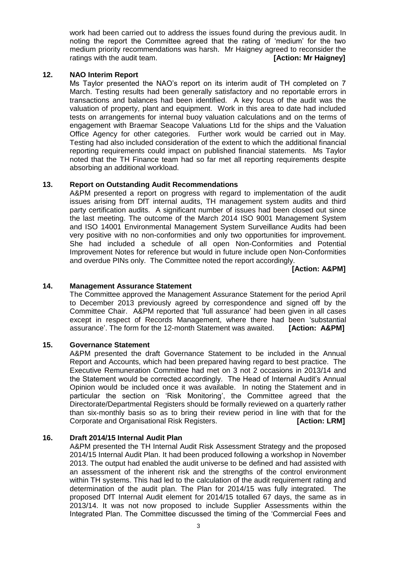work had been carried out to address the issues found during the previous audit. In noting the report the Committee agreed that the rating of 'medium' for the two medium priority recommendations was harsh. Mr Haigney agreed to reconsider the ratings with the audit team. *IAction: Mr Haigney* 

### **12. NAO Interim Report**

Ms Taylor presented the NAO's report on its interim audit of TH completed on 7 March. Testing results had been generally satisfactory and no reportable errors in transactions and balances had been identified. A key focus of the audit was the valuation of property, plant and equipment. Work in this area to date had included tests on arrangements for internal buoy valuation calculations and on the terms of engagement with Braemar Seacope Valuations Ltd for the ships and the Valuation Office Agency for other categories. Further work would be carried out in May. Testing had also included consideration of the extent to which the additional financial reporting requirements could impact on published financial statements. Ms Taylor noted that the TH Finance team had so far met all reporting requirements despite absorbing an additional workload.

#### **13. Report on Outstanding Audit Recommendations**

A&PM presented a report on progress with regard to implementation of the audit issues arising from DfT internal audits, TH management system audits and third party certification audits. A significant number of issues had been closed out since the last meeting. The outcome of the March 2014 ISO 9001 Management System and ISO 14001 Environmental Management System Surveillance Audits had been very positive with no non-conformities and only two opportunities for improvement. She had included a schedule of all open Non-Conformities and Potential Improvement Notes for reference but would in future include open Non-Conformities and overdue PINs only. The Committee noted the report accordingly.

**[Action: A&PM]**

#### **14. Management Assurance Statement**

The Committee approved the Management Assurance Statement for the period April to December 2013 previously agreed by correspondence and signed off by the Committee Chair. A&PM reported that 'full assurance' had been given in all cases except in respect of Records Management, where there had been 'substantial assurance'. The form for the 12-month Statement was awaited. **[Action: A&PM]**

#### **15. Governance Statement**

A&PM presented the draft Governance Statement to be included in the Annual Report and Accounts, which had been prepared having regard to best practice. The Executive Remuneration Committee had met on 3 not 2 occasions in 2013/14 and the Statement would be corrected accordingly. The Head of Internal Audit's Annual Opinion would be included once it was available. In noting the Statement and in particular the section on 'Risk Monitoring', the Committee agreed that the Directorate/Departmental Registers should be formally reviewed on a quarterly rather than six-monthly basis so as to bring their review period in line with that for the Corporate and Organisational Risk Registers. **[Action: LRM]** 

### **16. Draft 2014/15 Internal Audit Plan**

A&PM presented the TH Internal Audit Risk Assessment Strategy and the proposed 2014/15 Internal Audit Plan. It had been produced following a workshop in November 2013. The output had enabled the audit universe to be defined and had assisted with an assessment of the inherent risk and the strengths of the control environment within TH systems. This had led to the calculation of the audit requirement rating and determination of the audit plan. The Plan for 2014/15 was fully integrated. The proposed DfT Internal Audit element for 2014/15 totalled 67 days, the same as in 2013/14. It was not now proposed to include Supplier Assessments within the Integrated Plan. The Committee discussed the timing of the 'Commercial Fees and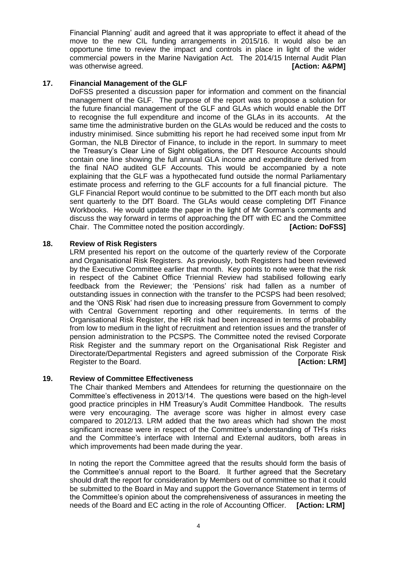Financial Planning' audit and agreed that it was appropriate to effect it ahead of the move to the new CIL funding arrangements in 2015/16. It would also be an opportune time to review the impact and controls in place in light of the wider commercial powers in the Marine Navigation Act. The 2014/15 Internal Audit Plan was otherwise agreed. *CONSERVING CONSERVING CONSERVING CONSERVING CONSERVING CONSERVING CONSERVING CONSERVING* **CONSERVING CONSERVING CONSERVING CONSERVING CONSERVING CONSERVING CONSERVING CONSERVING CONSERVING CONSERVING** 

### **17. Financial Management of the GLF**

DoFSS presented a discussion paper for information and comment on the financial management of the GLF. The purpose of the report was to propose a solution for the future financial management of the GLF and GLAs which would enable the DfT to recognise the full expenditure and income of the GLAs in its accounts. At the same time the administrative burden on the GLAs would be reduced and the costs to industry minimised. Since submitting his report he had received some input from Mr Gorman, the NLB Director of Finance, to include in the report. In summary to meet the Treasury's Clear Line of Sight obligations, the DfT Resource Accounts should contain one line showing the full annual GLA income and expenditure derived from the final NAO audited GLF Accounts. This would be accompanied by a note explaining that the GLF was a hypothecated fund outside the normal Parliamentary estimate process and referring to the GLF accounts for a full financial picture. The GLF Financial Report would continue to be submitted to the DfT each month but also sent quarterly to the DfT Board. The GLAs would cease completing DfT Finance Workbooks. He would update the paper in the light of Mr Gorman's comments and discuss the way forward in terms of approaching the DfT with EC and the Committee Chair. The Committee noted the position accordingly. **[Action: DoFSS]**

### **18. Review of Risk Registers**

LRM presented his report on the outcome of the quarterly review of the Corporate and Organisational Risk Registers. As previously, both Registers had been reviewed by the Executive Committee earlier that month. Key points to note were that the risk in respect of the Cabinet Office Triennial Review had stabilised following early feedback from the Reviewer; the 'Pensions' risk had fallen as a number of outstanding issues in connection with the transfer to the PCSPS had been resolved; and the 'ONS Risk' had risen due to increasing pressure from Government to comply with Central Government reporting and other requirements. In terms of the Organisational Risk Register, the HR risk had been increased in terms of probability from low to medium in the light of recruitment and retention issues and the transfer of pension administration to the PCSPS. The Committee noted the revised Corporate Risk Register and the summary report on the Organisational Risk Register and Directorate/Departmental Registers and agreed submission of the Corporate Risk **Register to the Board.** *CON CON CON CON CON CON CON CON CON CON CON CON CON CON CON CON CON CON CON CON CON CON CON CON CON* 

### **19. Review of Committee Effectiveness**

The Chair thanked Members and Attendees for returning the questionnaire on the Committee's effectiveness in 2013/14. The questions were based on the high-level good practice principles in HM Treasury's Audit Committee Handbook. The results were very encouraging. The average score was higher in almost every case compared to 2012/13. LRM added that the two areas which had shown the most significant increase were in respect of the Committee's understanding of TH's risks and the Committee's interface with Internal and External auditors, both areas in which improvements had been made during the year.

In noting the report the Committee agreed that the results should form the basis of the Committee's annual report to the Board. It further agreed that the Secretary should draft the report for consideration by Members out of committee so that it could be submitted to the Board in May and support the Governance Statement in terms of the Committee's opinion about the comprehensiveness of assurances in meeting the needs of the Board and EC acting in the role of Accounting Officer. **[Action: LRM]**